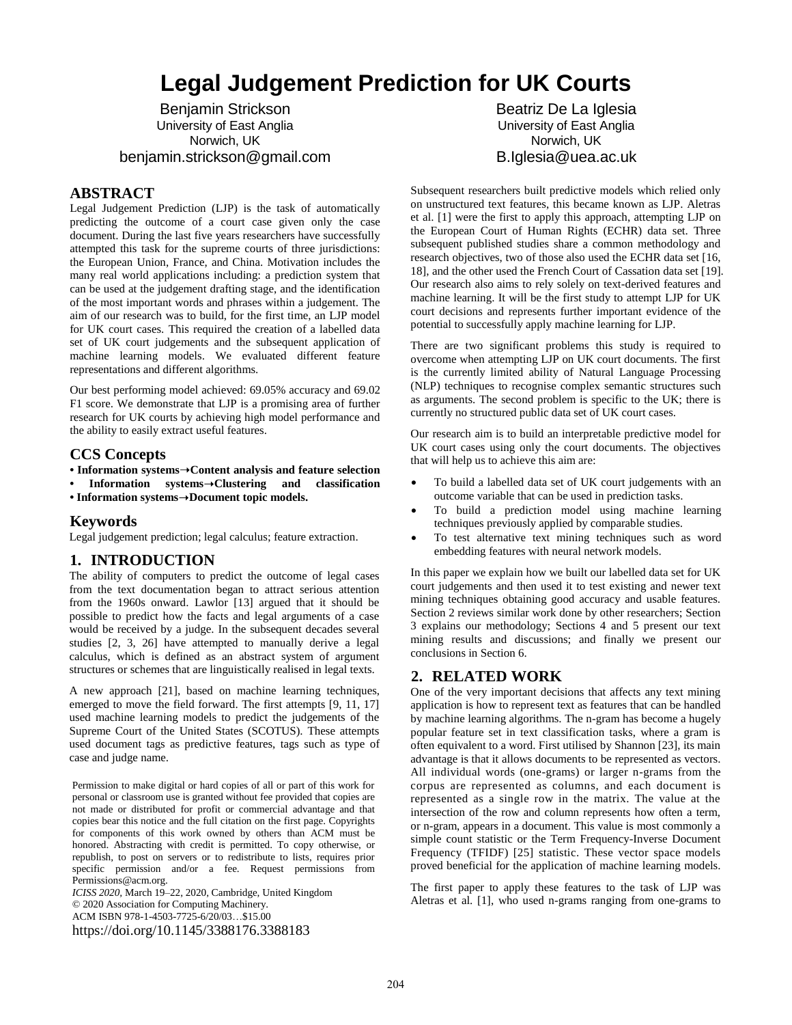# **Legal Judgement Prediction for UK Courts**

Benjamin Strickson University of East Anglia Norwich, UK benjamin.strickson@gmail.com

### **ABSTRACT**

Legal Judgement Prediction (LJP) is the task of automatically predicting the outcome of a court case given only the case document. During the last five years researchers have successfully attempted this task for the supreme courts of three jurisdictions: the European Union, France, and China. Motivation includes the many real world applications including: a prediction system that can be used at the judgement drafting stage, and the identification of the most important words and phrases within a judgement. The aim of our research was to build, for the first time, an LJP model for UK court cases. This required the creation of a labelled data set of UK court judgements and the subsequent application of machine learning models. We evaluated different feature representations and different algorithms.

Our best performing model achieved: 69.05% accuracy and 69.02 F1 score. We demonstrate that LJP is a promising area of further research for UK courts by achieving high model performance and the ability to easily extract useful features.

#### **CCS Concepts**

**• Information systems**➝**Content analysis and feature selection**

**• Information systems**➝**Clustering and classification** 

**• Information systems**➝**Document topic models.**

#### **Keywords**

Legal judgement prediction; legal calculus; feature extraction.

#### **1. INTRODUCTION**

The ability of computers to predict the outcome of legal cases from the text documentation began to attract serious attention from the 1960s onward. Lawlor [13] argued that it should be possible to predict how the facts and legal arguments of a case would be received by a judge. In the subsequent decades several studies [2, 3, 26] have attempted to manually derive a legal calculus, which is defined as an abstract system of argument structures or schemes that are linguistically realised in legal texts.

A new approach [21], based on machine learning techniques, emerged to move the field forward. The first attempts [9, 11, 17] used machine learning models to predict the judgements of the Supreme Court of the United States (SCOTUS). These attempts used document tags as predictive features, tags such as type of case and judge name.

Permission to make digital or hard copies of all or part of this work for personal or classroom use is granted without fee provided that copies are not made or distributed for profit or commercial advantage and that copies bear this notice and the full citation on the first page. Copyrights for components of this work owned by others than ACM must be honored. Abstracting with credit is permitted. To copy otherwise, or republish, to post on servers or to redistribute to lists, requires prior specific permission and/or a fee. Request permissions from Permissions@acm.org.

*ICISS 2020,* March 19–22, 2020, Cambridge, United Kingdom © 2020 Association for Computing Machinery. ACM ISBN 978-1-4503-7725-6/20/03…\$15.00 https://doi.org/10.1145/3388176.3388183

Beatriz De La Iglesia University of East Anglia Norwich, UK B.Iglesia@uea.ac.uk

Subsequent researchers built predictive models which relied only on unstructured text features, this became known as LJP. Aletras et al. [1] were the first to apply this approach, attempting LJP on the European Court of Human Rights (ECHR) data set. Three subsequent published studies share a common methodology and research objectives, two of those also used the ECHR data set [16, 18], and the other used the French Court of Cassation data set [19]. Our research also aims to rely solely on text-derived features and machine learning. It will be the first study to attempt LJP for UK court decisions and represents further important evidence of the potential to successfully apply machine learning for LJP.

There are two significant problems this study is required to overcome when attempting LJP on UK court documents. The first is the currently limited ability of Natural Language Processing (NLP) techniques to recognise complex semantic structures such as arguments. The second problem is specific to the UK; there is currently no structured public data set of UK court cases.

Our research aim is to build an interpretable predictive model for UK court cases using only the court documents. The objectives that will help us to achieve this aim are:

- To build a labelled data set of UK court judgements with an outcome variable that can be used in prediction tasks.
- To build a prediction model using machine learning techniques previously applied by comparable studies.
- To test alternative text mining techniques such as word embedding features with neural network models.

In this paper we explain how we built our labelled data set for UK court judgements and then used it to test existing and newer text mining techniques obtaining good accuracy and usable features. Section 2 reviews similar work done by other researchers; Section 3 explains our methodology; Sections 4 and 5 present our text mining results and discussions; and finally we present our conclusions in Section 6.

#### **2. RELATED WORK**

One of the very important decisions that affects any text mining application is how to represent text as features that can be handled by machine learning algorithms. The n-gram has become a hugely popular feature set in text classification tasks, where a gram is often equivalent to a word. First utilised by Shannon [23], its main advantage is that it allows documents to be represented as vectors. All individual words (one-grams) or larger n-grams from the corpus are represented as columns, and each document is represented as a single row in the matrix. The value at the intersection of the row and column represents how often a term, or n-gram, appears in a document. This value is most commonly a simple count statistic or the Term Frequency-Inverse Document Frequency (TFIDF) [25] statistic. These vector space models proved beneficial for the application of machine learning models.

The first paper to apply these features to the task of LJP was Aletras et al. [1], who used n-grams ranging from one-grams to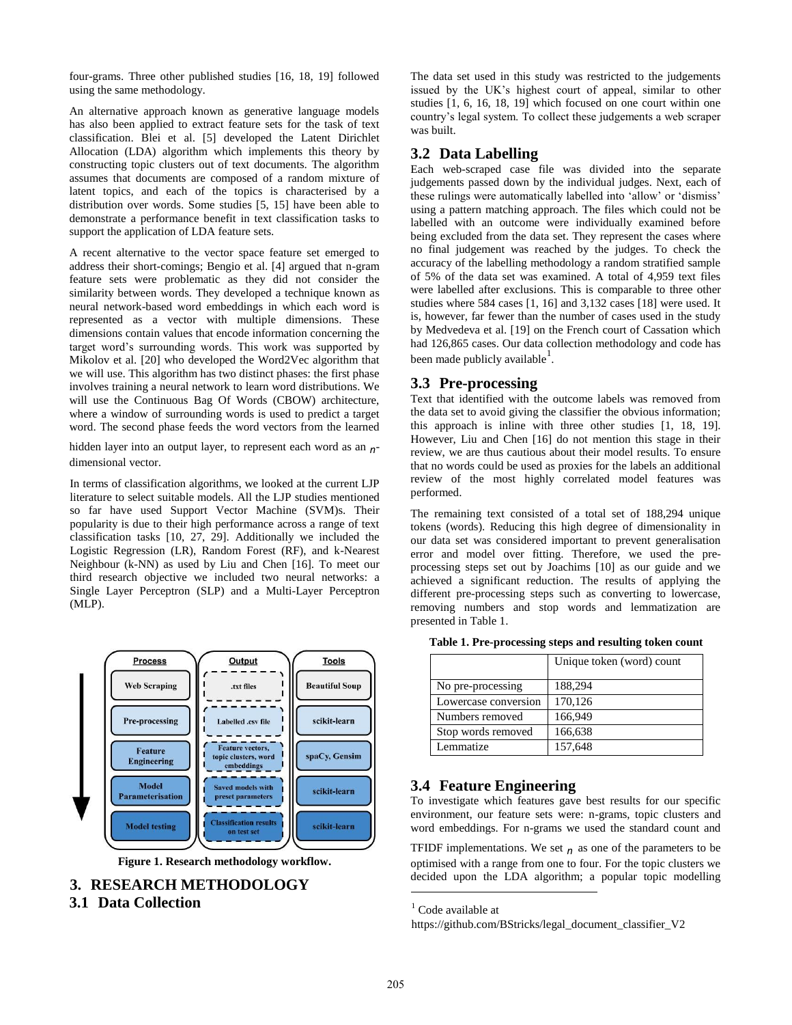four-grams. Three other published studies [16, 18, 19] followed using the same methodology.

An alternative approach known as generative language models has also been applied to extract feature sets for the task of text classification. Blei et al. [5] developed the Latent Dirichlet Allocation (LDA) algorithm which implements this theory by constructing topic clusters out of text documents. The algorithm assumes that documents are composed of a random mixture of latent topics, and each of the topics is characterised by a distribution over words. Some studies [5, 15] have been able to demonstrate a performance benefit in text classification tasks to support the application of LDA feature sets.

A recent alternative to the vector space feature set emerged to address their short-comings; Bengio et al. [4] argued that n-gram feature sets were problematic as they did not consider the similarity between words. They developed a technique known as neural network-based word embeddings in which each word is represented as a vector with multiple dimensions. These dimensions contain values that encode information concerning the target word's surrounding words. This work was supported by Mikolov et al. [20] who developed the Word2Vec algorithm that we will use. This algorithm has two distinct phases: the first phase involves training a neural network to learn word distributions. We will use the Continuous Bag Of Words (CBOW) architecture, where a window of surrounding words is used to predict a target word. The second phase feeds the word vectors from the learned

hidden layer into an output layer, to represent each word as an *n*dimensional vector.

In terms of classification algorithms, we looked at the current LJP literature to select suitable models. All the LJP studies mentioned so far have used Support Vector Machine (SVM)s. Their popularity is due to their high performance across a range of text classification tasks [10, 27, 29]. Additionally we included the Logistic Regression (LR), Random Forest (RF), and k-Nearest Neighbour (k-NN) as used by Liu and Chen [16]. To meet our third research objective we included two neural networks: a Single Layer Perceptron (SLP) and a Multi-Layer Perceptron (MLP).



**Figure 1. Research methodology workflow.** 

# **3. RESEARCH METHODOLOGY**

#### **3.1 Data Collection**

The data set used in this study was restricted to the judgements issued by the UK's highest court of appeal, similar to other studies [1, 6, 16, 18, 19] which focused on one court within one country's legal system. To collect these judgements a web scraper was built.

#### **3.2 Data Labelling**

Each web-scraped case file was divided into the separate judgements passed down by the individual judges. Next, each of these rulings were automatically labelled into 'allow' or 'dismiss' using a pattern matching approach. The files which could not be labelled with an outcome were individually examined before being excluded from the data set. They represent the cases where no final judgement was reached by the judges. To check the accuracy of the labelling methodology a random stratified sample of 5% of the data set was examined. A total of 4,959 text files were labelled after exclusions. This is comparable to three other studies where 584 cases [1, 16] and 3,132 cases [18] were used. It is, however, far fewer than the number of cases used in the study by Medvedeva et al. [19] on the French court of Cassation which had 126,865 cases. Our data collection methodology and code has been made publicly available<sup>1</sup>.

#### **3.3 Pre-processing**

Text that identified with the outcome labels was removed from the data set to avoid giving the classifier the obvious information; this approach is inline with three other studies [1, 18, 19]. However, Liu and Chen [16] do not mention this stage in their review, we are thus cautious about their model results. To ensure that no words could be used as proxies for the labels an additional review of the most highly correlated model features was performed.

The remaining text consisted of a total set of 188,294 unique tokens (words). Reducing this high degree of dimensionality in our data set was considered important to prevent generalisation error and model over fitting. Therefore, we used the preprocessing steps set out by Joachims [10] as our guide and we achieved a significant reduction. The results of applying the different pre-processing steps such as converting to lowercase, removing numbers and stop words and lemmatization are presented in Table 1.

|  | Table 1. Pre-processing steps and resulting token count |
|--|---------------------------------------------------------|
|--|---------------------------------------------------------|

|                      | Unique token (word) count |
|----------------------|---------------------------|
| No pre-processing    | 188,294                   |
| Lowercase conversion | 170,126                   |
| Numbers removed      | 166,949                   |
| Stop words removed   | 166,638                   |
| Lemmatize            | 157,648                   |

#### **3.4 Feature Engineering**

To investigate which features gave best results for our specific environment, our feature sets were: n-grams, topic clusters and word embeddings. For n-grams we used the standard count and

TFIDF implementations. We set  $n$  as one of the parameters to be optimised with a range from one to four. For the topic clusters we decided upon the LDA algorithm; a popular topic modelling

l

<sup>&</sup>lt;sup>1</sup> Code available at

[https://github.com/BStricks/legal\\_document\\_classifier\\_V2](https://github.com/BStricks/legal_document_classifier_V2)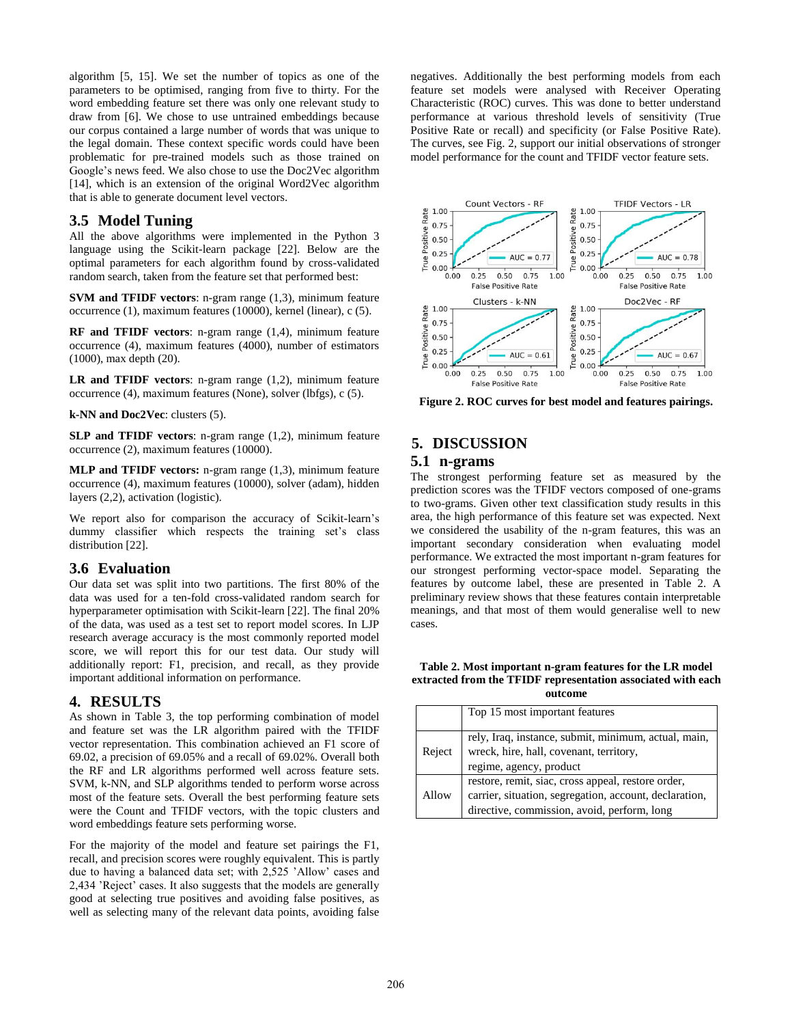algorithm [5, 15]. We set the number of topics as one of the parameters to be optimised, ranging from five to thirty. For the word embedding feature set there was only one relevant study to draw from [6]. We chose to use untrained embeddings because our corpus contained a large number of words that was unique to the legal domain. These context specific words could have been problematic for pre-trained models such as those trained on Google's news feed. We also chose to use the Doc2Vec algorithm [14], which is an extension of the original Word2Vec algorithm that is able to generate document level vectors.

#### **3.5 Model Tuning**

All the above algorithms were implemented in the Python 3 language using the Scikit-learn package [22]. Below are the optimal parameters for each algorithm found by cross-validated random search, taken from the feature set that performed best:

**SVM and TFIDF vectors**: n-gram range (1,3), minimum feature occurrence (1), maximum features (10000), kernel (linear), c (5).

**RF and TFIDF vectors**: n-gram range (1,4), minimum feature occurrence (4), maximum features (4000), number of estimators (1000), max depth (20).

**LR and TFIDF vectors**: n-gram range (1,2), minimum feature occurrence (4), maximum features (None), solver (lbfgs), c (5).

**k-NN and Doc2Vec**: clusters (5).

**SLP and TFIDF vectors**: n-gram range (1,2), minimum feature occurrence (2), maximum features (10000).

**MLP and TFIDF vectors:** n-gram range (1,3), minimum feature occurrence (4), maximum features (10000), solver (adam), hidden layers (2,2), activation (logistic).

We report also for comparison the accuracy of Scikit-learn's dummy classifier which respects the training set's class distribution [22].

#### **3.6 Evaluation**

Our data set was split into two partitions. The first 80% of the data was used for a ten-fold cross-validated random search for hyperparameter optimisation with Scikit-learn [22]. The final 20% of the data, was used as a test set to report model scores. In LJP research average accuracy is the most commonly reported model score, we will report this for our test data. Our study will additionally report: F1, precision, and recall, as they provide important additional information on performance.

# **4. RESULTS**

As shown in Table 3, the top performing combination of model and feature set was the LR algorithm paired with the TFIDF vector representation. This combination achieved an F1 score of 69.02, a precision of 69.05% and a recall of 69.02%. Overall both the RF and LR algorithms performed well across feature sets. SVM, k-NN, and SLP algorithms tended to perform worse across most of the feature sets. Overall the best performing feature sets were the Count and TFIDF vectors, with the topic clusters and word embeddings feature sets performing worse.

For the majority of the model and feature set pairings the F1, recall, and precision scores were roughly equivalent. This is partly due to having a balanced data set; with 2,525 'Allow' cases and 2,434 'Reject' cases. It also suggests that the models are generally good at selecting true positives and avoiding false positives, as well as selecting many of the relevant data points, avoiding false negatives. Additionally the best performing models from each feature set models were analysed with Receiver Operating Characteristic (ROC) curves. This was done to better understand performance at various threshold levels of sensitivity (True Positive Rate or recall) and specificity (or False Positive Rate). The curves, see Fig. 2, support our initial observations of stronger model performance for the count and TFIDF vector feature sets.



**Figure 2. ROC curves for best model and features pairings.** 

# **5. DISCUSSION**

#### **5.1 n-grams**

The strongest performing feature set as measured by the prediction scores was the TFIDF vectors composed of one-grams to two-grams. Given other text classification study results in this area, the high performance of this feature set was expected. Next we considered the usability of the n-gram features, this was an important secondary consideration when evaluating model performance. We extracted the most important n-gram features for our strongest performing vector-space model. Separating the features by outcome label, these are presented in Table 2. A preliminary review shows that these features contain interpretable meanings, and that most of them would generalise well to new cases.

#### **Table 2. Most important n-gram features for the LR model extracted from the TFIDF representation associated with each outcome**

|        | Top 15 most important features                                                                                                                              |
|--------|-------------------------------------------------------------------------------------------------------------------------------------------------------------|
| Reject | rely, Iraq, instance, submit, minimum, actual, main,<br>wreck, hire, hall, covenant, territory,<br>regime, agency, product                                  |
| Allow  | restore, remit, siac, cross appeal, restore order,<br>carrier, situation, segregation, account, declaration,<br>directive, commission, avoid, perform, long |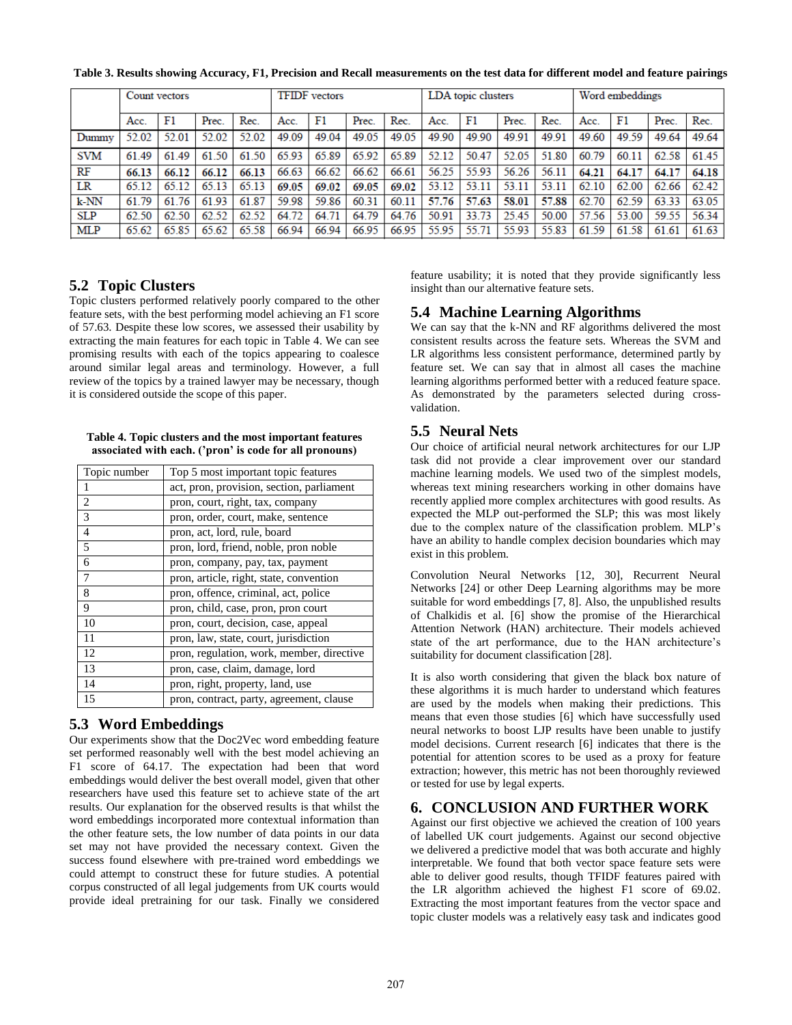|            | Count vectors |       |       | <b>TFIDF</b> vectors |       |       |       | LDA topic clusters |       |       |       | Word embeddings |       |       |       |       |
|------------|---------------|-------|-------|----------------------|-------|-------|-------|--------------------|-------|-------|-------|-----------------|-------|-------|-------|-------|
|            | Acc.          | F1    | Prec. | Rec.                 | Acc.  | F1    | Prec. | Rec.               | Acc.  | F1    | Prec. | Rec.            | Acc.  | F1    | Prec. | Rec.  |
| Dummy      | 52.02         | 52.01 | 52.02 | 52.02                | 49.09 | 49.04 | 49.05 | 49.05              | 49.90 | 49.90 | 49.91 | 49.91           | 49.60 | 49.59 | 49.64 | 49.64 |
| <b>SVM</b> | 61.49         | 61.49 | 61.50 | 61.50                | 65.93 | 65.89 | 65.92 | 65.89              | 52.12 | 50.47 | 52.05 | 51.80           | 60.79 | 60.11 | 62.58 | 61.45 |
| RF         | 66.13         | 66.12 | 66.12 | 66.13                | 66.63 | 66.62 | 66.62 | 66.61              | 56.25 | 55.93 | 56.26 | 56.11           | 64.21 | 64.17 | 64.17 | 64.18 |
| LR         | 65.12         | 65.12 | 65.13 | 65.13                | 69.05 | 69.02 | 69.05 | 69.02              | 53.12 | 53.11 | 53.11 | 53.11           | 62.10 | 62.00 | 62.66 | 62.42 |
| k-NN       | 61.79         | 61.76 | 61.93 | 61.87                | 59.98 | 59.86 | 60.31 | 60.11              | 57.76 | 57.63 | 58.01 | 57.88           | 62.70 | 62.59 | 63.33 | 63.05 |
| <b>SLP</b> | 62.50         | 62.50 | 62.52 | 62.52                | 64.72 | 64.71 | 64.79 | 64.76              | 50.91 | 33.73 | 25.45 | 50.00           | 57.56 | 53.00 | 59.55 | 56.34 |
| <b>MLP</b> | 65.62         | 65.85 | 65.62 | 65.58                | 66.94 | 66.94 | 66.95 | 66.95              | 55.95 | 55.71 | 55.93 | 55.83           | 61.59 | 61.58 | 61.61 | 61.63 |

**Table 3. Results showing Accuracy, F1, Precision and Recall measurements on the test data for different model and feature pairings**

# **5.2 Topic Clusters**

Topic clusters performed relatively poorly compared to the other feature sets, with the best performing model achieving an F1 score of 57.63. Despite these low scores, we assessed their usability by extracting the main features for each topic in Table 4. We can see promising results with each of the topics appearing to coalesce around similar legal areas and terminology. However, a full review of the topics by a trained lawyer may be necessary, though it is considered outside the scope of this paper.

**Table 4. Topic clusters and the most important features associated with each. ('pron' is code for all pronouns)**

| Topic number   | Top 5 most important topic features       |
|----------------|-------------------------------------------|
| 1              | act, pron, provision, section, parliament |
| $\overline{2}$ | pron, court, right, tax, company          |
| 3              | pron, order, court, make, sentence        |
| $\overline{4}$ | pron, act, lord, rule, board              |
| 5              | pron, lord, friend, noble, pron noble     |
| 6              | pron, company, pay, tax, payment          |
| 7              | pron, article, right, state, convention   |
| 8              | pron, offence, criminal, act, police      |
| 9              | pron, child, case, pron, pron court       |
| 10             | pron, court, decision, case, appeal       |
| 11             | pron, law, state, court, jurisdiction     |
| 12             | pron, regulation, work, member, directive |
| 13             | pron, case, claim, damage, lord           |
| 14             | pron, right, property, land, use          |
| 15             | pron, contract, party, agreement, clause  |

# **5.3 Word Embeddings**

Our experiments show that the Doc2Vec word embedding feature set performed reasonably well with the best model achieving an F1 score of 64.17. The expectation had been that word embeddings would deliver the best overall model, given that other researchers have used this feature set to achieve state of the art results. Our explanation for the observed results is that whilst the word embeddings incorporated more contextual information than the other feature sets, the low number of data points in our data set may not have provided the necessary context. Given the success found elsewhere with pre-trained word embeddings we could attempt to construct these for future studies. A potential corpus constructed of all legal judgements from UK courts would provide ideal pretraining for our task. Finally we considered

feature usability; it is noted that they provide significantly less insight than our alternative feature sets.

# **5.4 Machine Learning Algorithms**

We can say that the k-NN and RF algorithms delivered the most consistent results across the feature sets. Whereas the SVM and LR algorithms less consistent performance, determined partly by feature set. We can say that in almost all cases the machine learning algorithms performed better with a reduced feature space. As demonstrated by the parameters selected during crossvalidation.

# **5.5 Neural Nets**

Our choice of artificial neural network architectures for our LJP task did not provide a clear improvement over our standard machine learning models. We used two of the simplest models, whereas text mining researchers working in other domains have recently applied more complex architectures with good results. As expected the MLP out-performed the SLP; this was most likely due to the complex nature of the classification problem. MLP's have an ability to handle complex decision boundaries which may exist in this problem.

Convolution Neural Networks [12, 30], Recurrent Neural Networks [24] or other Deep Learning algorithms may be more suitable for word embeddings [7, 8]. Also, the unpublished results of Chalkidis et al. [6] show the promise of the Hierarchical Attention Network (HAN) architecture. Their models achieved state of the art performance, due to the HAN architecture's suitability for document classification [28].

It is also worth considering that given the black box nature of these algorithms it is much harder to understand which features are used by the models when making their predictions. This means that even those studies [6] which have successfully used neural networks to boost LJP results have been unable to justify model decisions. Current research [6] indicates that there is the potential for attention scores to be used as a proxy for feature extraction; however, this metric has not been thoroughly reviewed or tested for use by legal experts.

# **6. CONCLUSION AND FURTHER WORK**

Against our first objective we achieved the creation of 100 years of labelled UK court judgements. Against our second objective we delivered a predictive model that was both accurate and highly interpretable. We found that both vector space feature sets were able to deliver good results, though TFIDF features paired with the LR algorithm achieved the highest F1 score of 69.02. Extracting the most important features from the vector space and topic cluster models was a relatively easy task and indicates good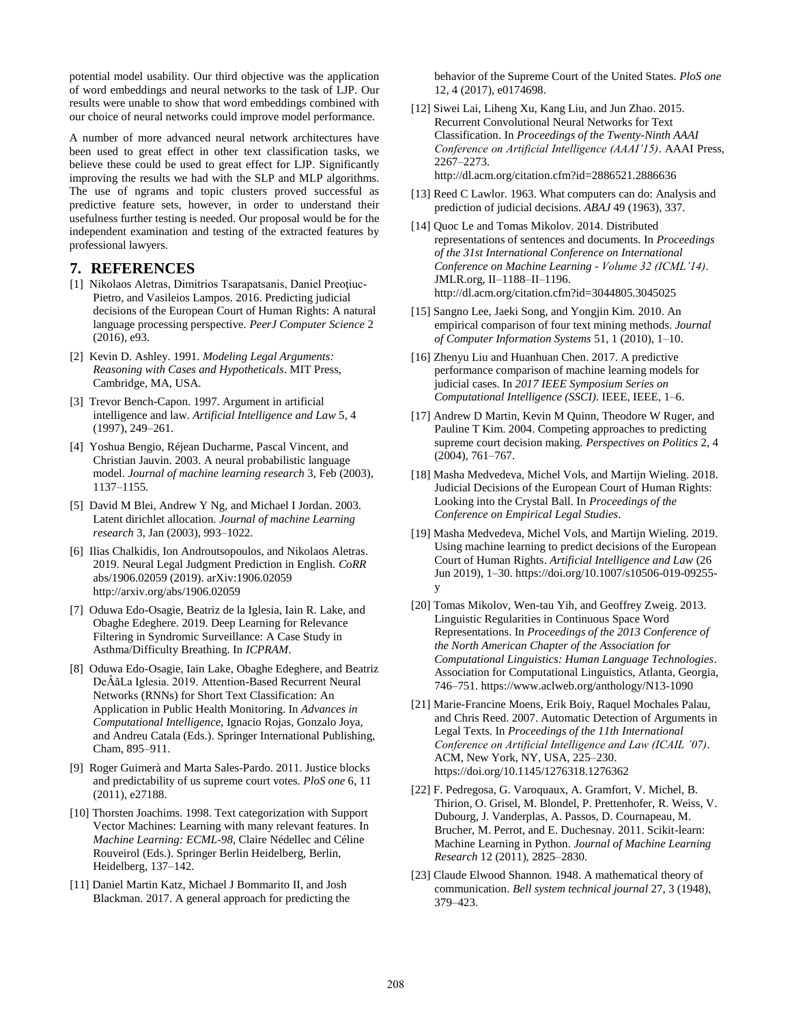potential model usability. Our third objective was the application of word embeddings and neural networks to the task of LJP. Our results were unable to show that word embeddings combined with our choice of neural networks could improve model performance.

A number of more advanced neural network architectures have been used to great effect in other text classification tasks, we believe these could be used to great effect for LJP. Significantly improving the results we had with the SLP and MLP algorithms. The use of ngrams and topic clusters proved successful as predictive feature sets, however, in order to understand their usefulness further testing is needed. Our proposal would be for the independent examination and testing of the extracted features by professional lawyers.

#### **7. REFERENCES**

- [1] Nikolaos Aletras, Dimitrios Tsarapatsanis, Daniel Preoţiuc-Pietro, and Vasileios Lampos. 2016. Predicting judicial decisions of the European Court of Human Rights: A natural language processing perspective. *PeerJ Computer Science* 2 (2016), e93.
- [2] Kevin D. Ashley. 1991. *Modeling Legal Arguments: Reasoning with Cases and Hypotheticals*. MIT Press, Cambridge, MA, USA.
- [3] Trevor Bench-Capon. 1997. Argument in artificial intelligence and law. *Artificial Intelligence and Law* 5, 4 (1997), 249–261.
- [4] Yoshua Bengio, Réjean Ducharme, Pascal Vincent, and Christian Jauvin. 2003. A neural probabilistic language model. *Journal of machine learning research* 3, Feb (2003), 1137–1155.
- [5] David M Blei, Andrew Y Ng, and Michael I Jordan. 2003. Latent dirichlet allocation. *Journal of machine Learning research* 3, Jan (2003), 993–1022.
- [6] Ilias Chalkidis, Ion Androutsopoulos, and Nikolaos Aletras. 2019. Neural Legal Judgment Prediction in English. *CoRR*  abs/1906.02059 (2019). arXiv:1906.02059 http://arxiv.org/abs/1906.02059
- [7] Oduwa Edo-Osagie, Beatriz de la Iglesia, Iain R. Lake, and Obaghe Edeghere. 2019. Deep Learning for Relevance Filtering in Syndromic Surveillance: A Case Study in Asthma/Difficulty Breathing. In *ICPRAM*.
- [8] Oduwa Edo-Osagie, Iain Lake, Obaghe Edeghere, and Beatriz DeÂăLa Iglesia. 2019. Attention-Based Recurrent Neural Networks (RNNs) for Short Text Classification: An Application in Public Health Monitoring. In *Advances in Computational Intelligence*, Ignacio Rojas, Gonzalo Joya, and Andreu Catala (Eds.). Springer International Publishing, Cham, 895–911.
- [9] Roger Guimerà and Marta Sales-Pardo. 2011. Justice blocks and predictability of us supreme court votes. *PloS one* 6, 11 (2011), e27188.
- [10] Thorsten Joachims. 1998. Text categorization with Support Vector Machines: Learning with many relevant features. In *Machine Learning: ECML-98*, Claire Nédellec and Céline Rouveirol (Eds.). Springer Berlin Heidelberg, Berlin, Heidelberg, 137–142.
- [11] Daniel Martin Katz, Michael J Bommarito II, and Josh Blackman. 2017. A general approach for predicting the

behavior of the Supreme Court of the United States. *PloS one*  12, 4 (2017), e0174698.

[12] Siwei Lai, Liheng Xu, Kang Liu, and Jun Zhao. 2015. Recurrent Convolutional Neural Networks for Text Classification. In *Proceedings of the Twenty-Ninth AAAI Conference on Artificial Intelligence (AAAI'15)*. AAAI Press, 2267–2273.

http://dl.acm.org/citation.cfm?id=2886521.2886636

- [13] Reed C Lawlor. 1963. What computers can do: Analysis and prediction of judicial decisions. *ABAJ* 49 (1963), 337.
- [14] Quoc Le and Tomas Mikolov. 2014. Distributed representations of sentences and documents. In *Proceedings of the 31st International Conference on International Conference on Machine Learning - Volume 32 (ICML'14)*. JMLR.org, II–1188–II–1196. http://dl.acm.org/citation.cfm?id=3044805.3045025
- [15] Sangno Lee, Jaeki Song, and Yongjin Kim. 2010. An empirical comparison of four text mining methods. *Journal of Computer Information Systems* 51, 1 (2010), 1–10.
- [16] Zhenyu Liu and Huanhuan Chen. 2017. A predictive performance comparison of machine learning models for judicial cases. In *2017 IEEE Symposium Series on Computational Intelligence (SSCI)*. IEEE, IEEE, 1–6.
- [17] Andrew D Martin, Kevin M Quinn, Theodore W Ruger, and Pauline T Kim. 2004. Competing approaches to predicting supreme court decision making. *Perspectives on Politics* 2, 4 (2004), 761–767.
- [18] Masha Medvedeva, Michel Vols, and Martijn Wieling. 2018. Judicial Decisions of the European Court of Human Rights: Looking into the Crystal Ball. In *Proceedings of the Conference on Empirical Legal Studies*.
- [19] Masha Medvedeva, Michel Vols, and Martijn Wieling. 2019. Using machine learning to predict decisions of the European Court of Human Rights. *Artificial Intelligence and Law* (26 Jun 2019), 1–30. https://doi.org/10.1007/s10506-019-09255 y
- [20] Tomas Mikolov, Wen-tau Yih, and Geoffrey Zweig. 2013. Linguistic Regularities in Continuous Space Word Representations. In *Proceedings of the 2013 Conference of the North American Chapter of the Association for Computational Linguistics: Human Language Technologies*. Association for Computational Linguistics, Atlanta, Georgia, 746–751. https://www.aclweb.org/anthology/N13-1090
- [21] Marie-Francine Moens, Erik Boiy, Raquel Mochales Palau, and Chris Reed. 2007. Automatic Detection of Arguments in Legal Texts. In *Proceedings of the 11th International Conference on Artificial Intelligence and Law (ICAIL '07)*. ACM, New York, NY, USA, 225–230. https://doi.org/10.1145/1276318.1276362
- [22] F. Pedregosa, G. Varoquaux, A. Gramfort, V. Michel, B. Thirion, O. Grisel, M. Blondel, P. Prettenhofer, R. Weiss, V. Dubourg, J. Vanderplas, A. Passos, D. Cournapeau, M. Brucher, M. Perrot, and E. Duchesnay. 2011. Scikit-learn: Machine Learning in Python. *Journal of Machine Learning Research* 12 (2011), 2825–2830.
- [23] Claude Elwood Shannon. 1948. A mathematical theory of communication. *Bell system technical journal* 27, 3 (1948), 379–423.